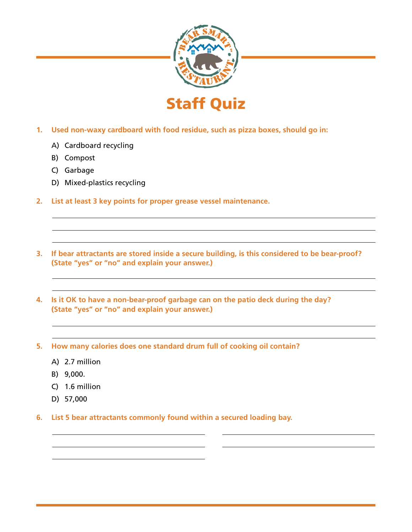

- **1. Used non-waxy cardboard with food residue, such as pizza boxes, should go in:**
	- A) Cardboard recycling
	- B) Compost
	- C) Garbage
	- D) Mixed-plastics recycling
- **2. List at least 3 key points for proper grease vessel maintenance.**
- **3. If bear attractants are stored inside a secure building, is this considered to be bear-proof? (State "yes" or "no" and explain your answer.)**
- **4. Is it OK to have a non-bear-proof garbage can on the patio deck during the day? (State "yes" or "no" and explain your answer.)**
- **5. How many calories does one standard drum full of cooking oil contain?** 
	- A) 2.7 million
	- B) 9,000.
	- C) 1.6 million
	- D) 57,000
- **6. List 5 bear attractants commonly found within a secured loading bay.**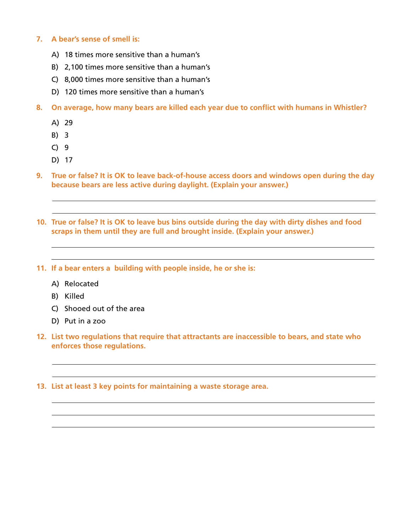## **7. A bear's sense of smell is:**

- A) 18 times more sensitive than a human's
- B) 2,100 times more sensitive than a human's
- C) 8,000 times more sensitive than a human's
- D) 120 times more sensitive than a human's
- **8. On average, how many bears are killed each year due to conflict with humans in Whistler?** 
	- A) 29
	- B) 3
	- C) 9
	- D) 17
- **9. True or false? It is OK to leave back-of-house access doors and windows open during the day because bears are less active during daylight. (Explain your answer.)**
- **10. True or false? It is OK to leave bus bins outside during the day with dirty dishes and food scraps in them until they are full and brought inside. (Explain your answer.)**
- **11. If a bear enters a building with people inside, he or she is:** 
	- A) Relocated
	- B) Killed
	- C) Shooed out of the area
	- D) Put in a zoo
- **12. List two regulations that require that attractants are inaccessible to bears, and state who enforces those regulations.**
- **13. List at least 3 key points for maintaining a waste storage area.**